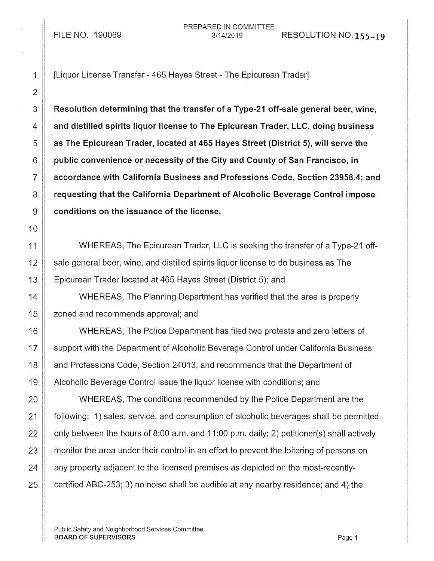## PREPARED IN COMMITTEE FILE NO. 190069 3/14/2019 RESOLUTION NO. 155-19

1 | [Liquor License Transfer - 465 Hayes Street - The Epicurean Trader]

 $3 \parallel$  Resolution determining that the transfer of a Type-21 off-sale general beer, wine,  $4 \parallel$  and distilled spirits liquor license to The Epicurean Trader, LLC, doing business 5 **a** The Epicurean Trader, located at 465 Hayes Street (District 5), will serve the  $6 \parallel$  public convenience or necessity of the City and County of San Francisco, in 7 accordance with California Business and Professions Code, Section 23958.4; and 8 **8 Team** requesting that the California Department of Alcoholic Beverage Control impose  $9$   $\parallel$  conditions on the issuance of the license.

11 WHEREAS, The Epicurean Trader, LLC is seeking the transfer of a Type-21 off-12 **Sale general beer, wine, and distilled spirits liquor license to do business as The** 13 **Epicurean Trader located at 465 Hayes Street (District 5); and** 

14 WHEREAS, The Planning Department has verified that the area is properly 15 **L** zoned and recommends approval; and

16 WHEREAS, The Police Department has filed two protests and zero letters of 17 | support with the Department of Alcoholic Beverage Control under California Business 18 **and Professions Code, Section 24013, and recommends that the Department of** 19 Alcoholic Beverage Control issue the liquor license with conditions; and

20 WHEREAS, The conditions recommended by the Police Department are the 21 following: 1) sales, service, and consumption of alcoholic beverages shall be permitted  $\parallel$  only between the hours of 8:00 a.m. and 11:00 p.m. daily; 2) petitioner(s) shall actively **monitor the area under their control in an effort to prevent the loitering of persons on**   $\parallel$  any property adjacent to the licensed premises as depicted on the most-recently-| certified ABC-253; 3) no noise shall be audible at any nearby residence; and 4) the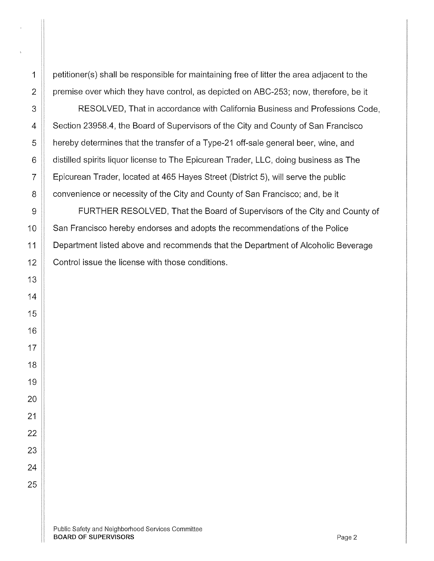1 | petitioner(s) shall be responsible for maintaining free of litter the area adjacent to the  $\parallel$  premise over which they have control, as depicted on ABC-253; now, therefore, be it

**RESOLVED**, That in accordance with California Business and Professions Code, 4 | Section 23958.4, the Board of Supervisors of the City and County of San Francisco **h** hereby determines that the transfer of a Type-21 off-sale general beer, wine, and **distilled spirits liquor license to The Epicurean Trader, LLC, doing business as The** 7 Epicurean Trader, located at 465 Hayes Street (District 5), will serve the public **convenience or necessity of the City and County of San Francisco; and, be it** 

9 | FURTHER RESOLVED, That the Board of Supervisors of the City and County of 10 San Francisco hereby endorses and adopts the recommendations of the Police 11 Department listed above and recommends that the Department of Alcoholic Beverage **Control issue the license with those conditions.**